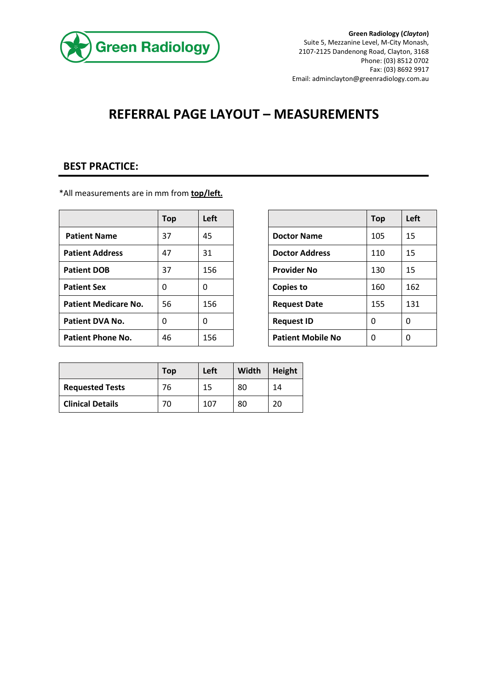

## **REFERRAL PAGE LAYOUT – MEASUREMENTS**

## **BEST PRACTICE:**

\*All measurements are in mm from **top/left.**

|                             | <b>Top</b> | Left |                          | <b>Top</b> | Left |
|-----------------------------|------------|------|--------------------------|------------|------|
| <b>Patient Name</b>         | 37         | 45   | <b>Doctor Name</b>       | 105        | 15   |
| <b>Patient Address</b>      | 47         | 31   | <b>Doctor Address</b>    | 110        | 15   |
| <b>Patient DOB</b>          | 37         | 156  | <b>Provider No</b>       | 130        | 15   |
| <b>Patient Sex</b>          | $\Omega$   | 0    | <b>Copies to</b>         | 160        | 162  |
| <b>Patient Medicare No.</b> | 56         | 156  | <b>Request Date</b>      | 155        | 131  |
| <b>Patient DVA No.</b>      | 0          | 0    | <b>Request ID</b>        | 0          | 0    |
| <b>Patient Phone No.</b>    | 46         | 156  | <b>Patient Mobile No</b> | 0          | 0    |

| <b>Top</b> | Left |                          | <b>Top</b> | Left |
|------------|------|--------------------------|------------|------|
| 37         | 45   | <b>Doctor Name</b>       | 105        | 15   |
| 47         | 31   | <b>Doctor Address</b>    | 110        | 15   |
| 37         | 156  | <b>Provider No</b>       | 130        | 15   |
| 0          | 0    | <b>Copies to</b>         | 160        | 162  |
| 56         | 156  | <b>Request Date</b>      | 155        | 131  |
| 0          | 0    | <b>Request ID</b>        | 0          | 0    |
| 46         | 156  | <b>Patient Mobile No</b> | 0          | 0    |

|                         | Top | Left | Width | Height |
|-------------------------|-----|------|-------|--------|
| <b>Requested Tests</b>  | 76  | 15   | 80    | 14     |
| <b>Clinical Details</b> | 70  | 107  | 80    | 20     |